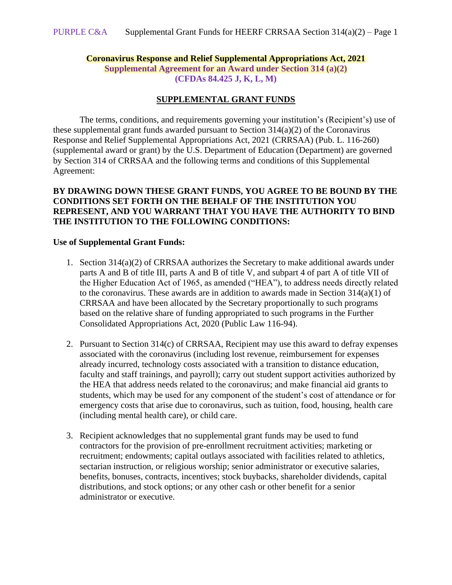### **Coronavirus Response and Relief Supplemental Appropriations Act, 2021 Supplemental Agreement for an Award under Section 314 (a)(2) (CFDAs 84.425 J, K, L, M)**

### **SUPPLEMENTAL GRANT FUNDS**

The terms, conditions, and requirements governing your institution's (Recipient's) use of these supplemental grant funds awarded pursuant to Section 314(a)(2) of the Coronavirus Response and Relief Supplemental Appropriations Act, 2021 (CRRSAA) (Pub. L. 116-260) (supplemental award or grant) by the U.S. Department of Education (Department) are governed by Section 314 of CRRSAA and the following terms and conditions of this Supplemental Agreement:

### **BY DRAWING DOWN THESE GRANT FUNDS, YOU AGREE TO BE BOUND BY THE CONDITIONS SET FORTH ON THE BEHALF OF THE INSTITUTION YOU REPRESENT, AND YOU WARRANT THAT YOU HAVE THE AUTHORITY TO BIND THE INSTITUTION TO THE FOLLOWING CONDITIONS:**

#### **Use of Supplemental Grant Funds:**

- 1. Section 314(a)(2) of CRRSAA authorizes the Secretary to make additional awards under parts A and B of title III, parts A and B of title V, and subpart 4 of part A of title VII of the Higher Education Act of 1965, as amended ("HEA"), to address needs directly related to the coronavirus. These awards are in addition to awards made in Section 314(a)(1) of CRRSAA and have been allocated by the Secretary proportionally to such programs based on the relative share of funding appropriated to such programs in the Further Consolidated Appropriations Act, 2020 (Public Law 116-94).
- 2. Pursuant to Section 314(c) of CRRSAA, Recipient may use this award to defray expenses associated with the coronavirus (including lost revenue, reimbursement for expenses already incurred, technology costs associated with a transition to distance education, faculty and staff trainings, and payroll); carry out student support activities authorized by the HEA that address needs related to the coronavirus; and make financial aid grants to students, which may be used for any component of the student's cost of attendance or for emergency costs that arise due to coronavirus, such as tuition, food, housing, health care (including mental health care), or child care.
- 3. Recipient acknowledges that no supplemental grant funds may be used to fund contractors for the provision of pre-enrollment recruitment activities; marketing or recruitment; endowments; capital outlays associated with facilities related to athletics, sectarian instruction, or religious worship; senior administrator or executive salaries, benefits, bonuses, contracts, incentives; stock buybacks, shareholder dividends, capital distributions, and stock options; or any other cash or other benefit for a senior administrator or executive.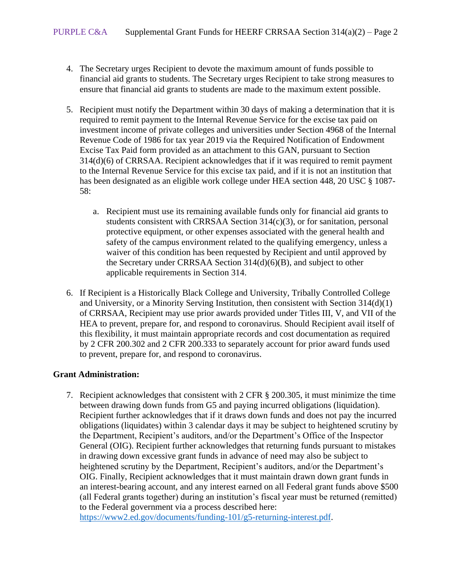- 4. The Secretary urges Recipient to devote the maximum amount of funds possible to financial aid grants to students. The Secretary urges Recipient to take strong measures to ensure that financial aid grants to students are made to the maximum extent possible.
- 5. Recipient must notify the Department within 30 days of making a determination that it is required to remit payment to the Internal Revenue Service for the excise tax paid on investment income of private colleges and universities under Section 4968 of the Internal Revenue Code of 1986 for tax year 2019 via the Required Notification of Endowment Excise Tax Paid form provided as an attachment to this GAN, pursuant to Section 314(d)(6) of CRRSAA. Recipient acknowledges that if it was required to remit payment to the Internal Revenue Service for this excise tax paid, and if it is not an institution that has been designated as an eligible work college under HEA section 448, 20 USC § 1087- 58:
	- a. Recipient must use its remaining available funds only for financial aid grants to students consistent with CRRSAA Section 314(c)(3), or for sanitation, personal protective equipment, or other expenses associated with the general health and safety of the campus environment related to the qualifying emergency, unless a waiver of this condition has been requested by Recipient and until approved by the Secretary under CRRSAA Section 314(d)(6)(B), and subject to other applicable requirements in Section 314.
- 6. If Recipient is a Historically Black College and University, Tribally Controlled College and University, or a Minority Serving Institution, then consistent with Section 314(d)(1) of CRRSAA, Recipient may use prior awards provided under Titles III, V, and VII of the HEA to prevent, prepare for, and respond to coronavirus. Should Recipient avail itself of this flexibility, it must maintain appropriate records and cost documentation as required by 2 CFR 200.302 and 2 CFR 200.333 to separately account for prior award funds used to prevent, prepare for, and respond to coronavirus.

# **Grant Administration:**

7. Recipient acknowledges that consistent with 2 CFR § 200.305, it must minimize the time between drawing down funds from G5 and paying incurred obligations (liquidation). Recipient further acknowledges that if it draws down funds and does not pay the incurred obligations (liquidates) within 3 calendar days it may be subject to heightened scrutiny by the Department, Recipient's auditors, and/or the Department's Office of the Inspector General (OIG). Recipient further acknowledges that returning funds pursuant to mistakes in drawing down excessive grant funds in advance of need may also be subject to heightened scrutiny by the Department, Recipient's auditors, and/or the Department's OIG. Finally, Recipient acknowledges that it must maintain drawn down grant funds in an interest-bearing account, and any interest earned on all Federal grant funds above \$500 (all Federal grants together) during an institution's fiscal year must be returned (remitted) to the Federal government via a process described here: [https://www2.ed.gov/documents/funding-101/g5-returning-interest.pdf.](https://www2.ed.gov/documents/funding-101/g5-returning-interest.pdf)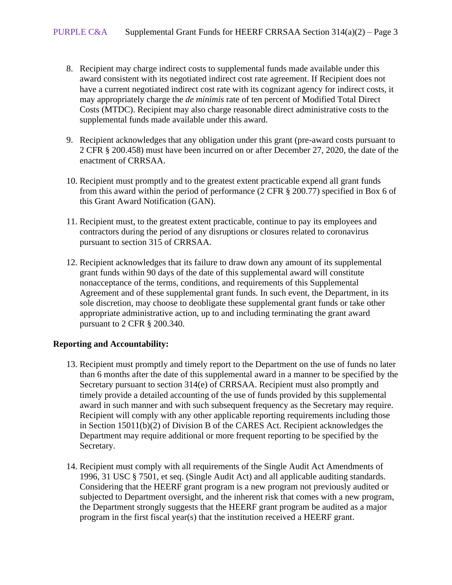- 8. Recipient may charge indirect costs to supplemental funds made available under this award consistent with its negotiated indirect cost rate agreement. If Recipient does not have a current negotiated indirect cost rate with its cognizant agency for indirect costs, it may appropriately charge the *de minimis* rate of ten percent of Modified Total Direct Costs (MTDC). Recipient may also charge reasonable direct administrative costs to the supplemental funds made available under this award.
- 9. Recipient acknowledges that any obligation under this grant (pre-award costs pursuant to 2 CFR § 200.458) must have been incurred on or after December 27, 2020, the date of the enactment of CRRSAA.
- 10. Recipient must promptly and to the greatest extent practicable expend all grant funds from this award within the period of performance (2 CFR § 200.77) specified in Box 6 of this Grant Award Notification (GAN).
- 11. Recipient must, to the greatest extent practicable, continue to pay its employees and contractors during the period of any disruptions or closures related to coronavirus pursuant to section 315 of CRRSAA.
- 12. Recipient acknowledges that its failure to draw down any amount of its supplemental grant funds within 90 days of the date of this supplemental award will constitute nonacceptance of the terms, conditions, and requirements of this Supplemental Agreement and of these supplemental grant funds. In such event, the Department, in its sole discretion, may choose to deobligate these supplemental grant funds or take other appropriate administrative action, up to and including terminating the grant award pursuant to 2 CFR § 200.340.

# **Reporting and Accountability:**

- 13. Recipient must promptly and timely report to the Department on the use of funds no later than 6 months after the date of this supplemental award in a manner to be specified by the Secretary pursuant to section 314(e) of CRRSAA. Recipient must also promptly and timely provide a detailed accounting of the use of funds provided by this supplemental award in such manner and with such subsequent frequency as the Secretary may require. Recipient will comply with any other applicable reporting requirements including those in Section 15011(b)(2) of Division B of the CARES Act. Recipient acknowledges the Department may require additional or more frequent reporting to be specified by the Secretary.
- 14. Recipient must comply with all requirements of the Single Audit Act Amendments of 1996, 31 USC § 7501, et seq. (Single Audit Act) and all applicable auditing standards. Considering that the HEERF grant program is a new program not previously audited or subjected to Department oversight, and the inherent risk that comes with a new program, the Department strongly suggests that the HEERF grant program be audited as a major program in the first fiscal year(s) that the institution received a HEERF grant.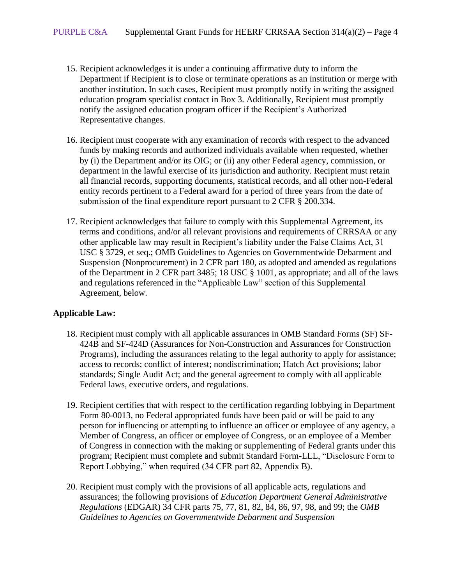- 15. Recipient acknowledges it is under a continuing affirmative duty to inform the Department if Recipient is to close or terminate operations as an institution or merge with another institution. In such cases, Recipient must promptly notify in writing the assigned education program specialist contact in Box 3. Additionally, Recipient must promptly notify the assigned education program officer if the Recipient's Authorized Representative changes.
- 16. Recipient must cooperate with any examination of records with respect to the advanced funds by making records and authorized individuals available when requested, whether by (i) the Department and/or its OIG; or (ii) any other Federal agency, commission, or department in the lawful exercise of its jurisdiction and authority. Recipient must retain all financial records, supporting documents, statistical records, and all other non-Federal entity records pertinent to a Federal award for a period of three years from the date of submission of the final expenditure report pursuant to 2 CFR § 200.334.
- 17. Recipient acknowledges that failure to comply with this Supplemental Agreement, its terms and conditions, and/or all relevant provisions and requirements of CRRSAA or any other applicable law may result in Recipient's liability under the False Claims Act, 31 USC § 3729, et seq.; OMB Guidelines to Agencies on Governmentwide Debarment and Suspension (Nonprocurement) in 2 CFR part 180, as adopted and amended as regulations of the Department in 2 CFR part 3485; 18 USC § 1001, as appropriate; and all of the laws and regulations referenced in the "Applicable Law" section of this Supplemental Agreement, below.

# **Applicable Law:**

- 18. Recipient must comply with all applicable assurances in OMB Standard Forms (SF) SF-424B and SF-424D (Assurances for Non-Construction and Assurances for Construction Programs), including the assurances relating to the legal authority to apply for assistance; access to records; conflict of interest; nondiscrimination; Hatch Act provisions; labor standards; Single Audit Act; and the general agreement to comply with all applicable Federal laws, executive orders, and regulations.
- 19. Recipient certifies that with respect to the certification regarding lobbying in Department Form 80-0013, no Federal appropriated funds have been paid or will be paid to any person for influencing or attempting to influence an officer or employee of any agency, a Member of Congress, an officer or employee of Congress, or an employee of a Member of Congress in connection with the making or supplementing of Federal grants under this program; Recipient must complete and submit Standard Form-LLL, "Disclosure Form to Report Lobbying," when required (34 CFR part 82, Appendix B).
- 20. Recipient must comply with the provisions of all applicable acts, regulations and assurances; the following provisions of *Education Department General Administrative Regulations* (EDGAR) 34 CFR parts 75, 77, 81, 82, 84, 86, 97, 98, and 99; the *OMB Guidelines to Agencies on Governmentwide Debarment and Suspension*